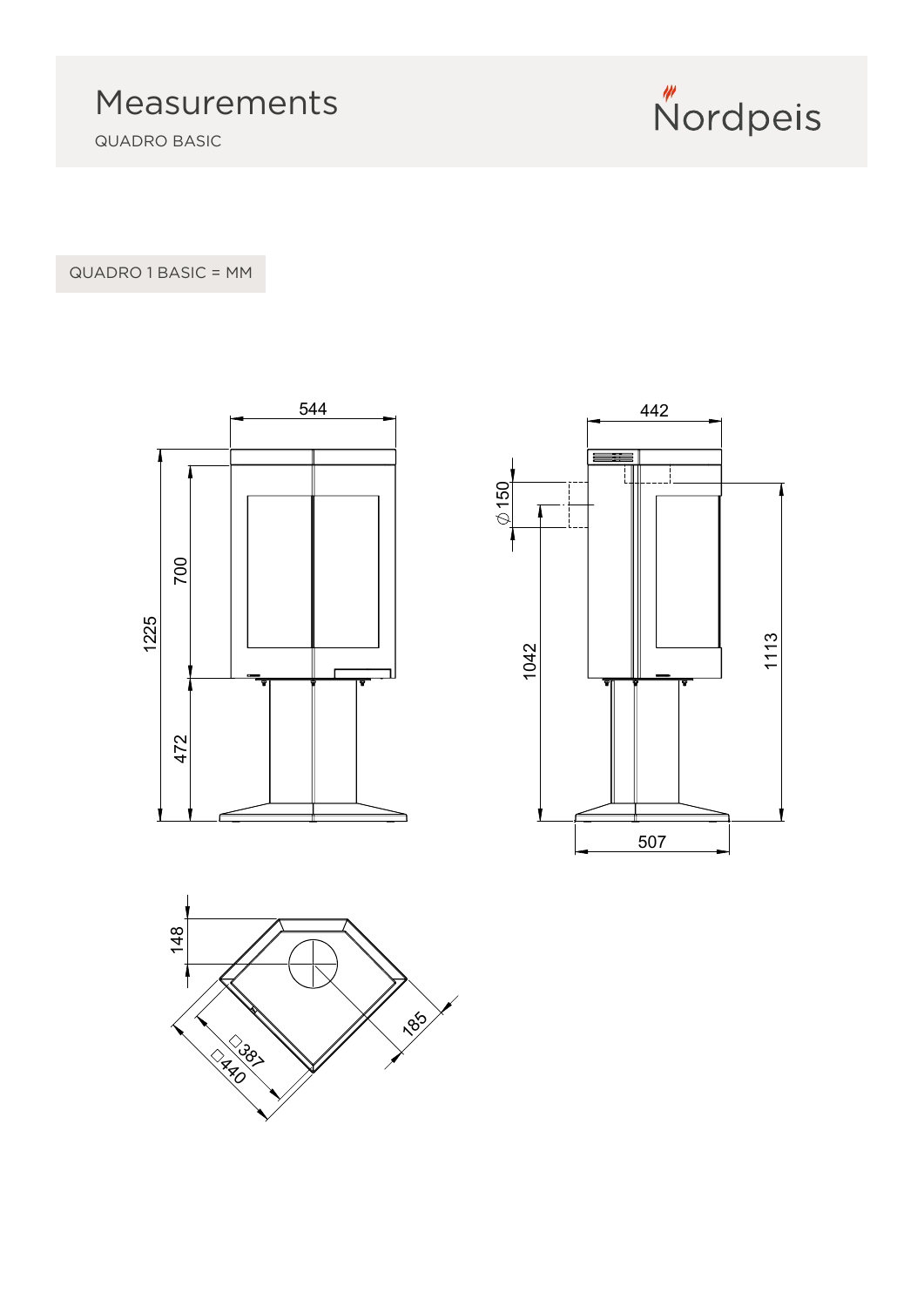QUADRO BASIC



QUADRO 1 BASIC = MM





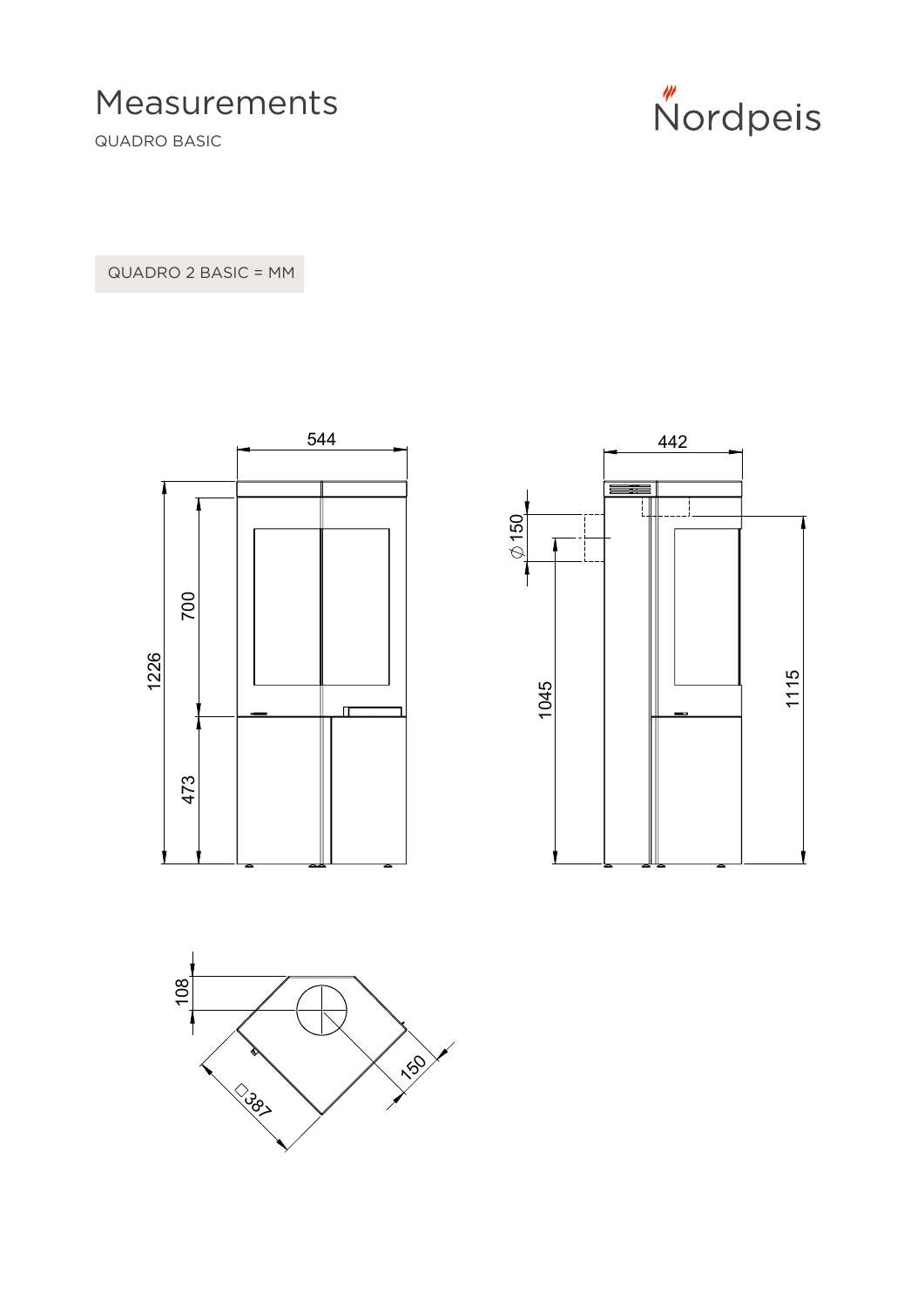Measurements

QUADRO BASIC



QUADRO 2 BASIC = MM





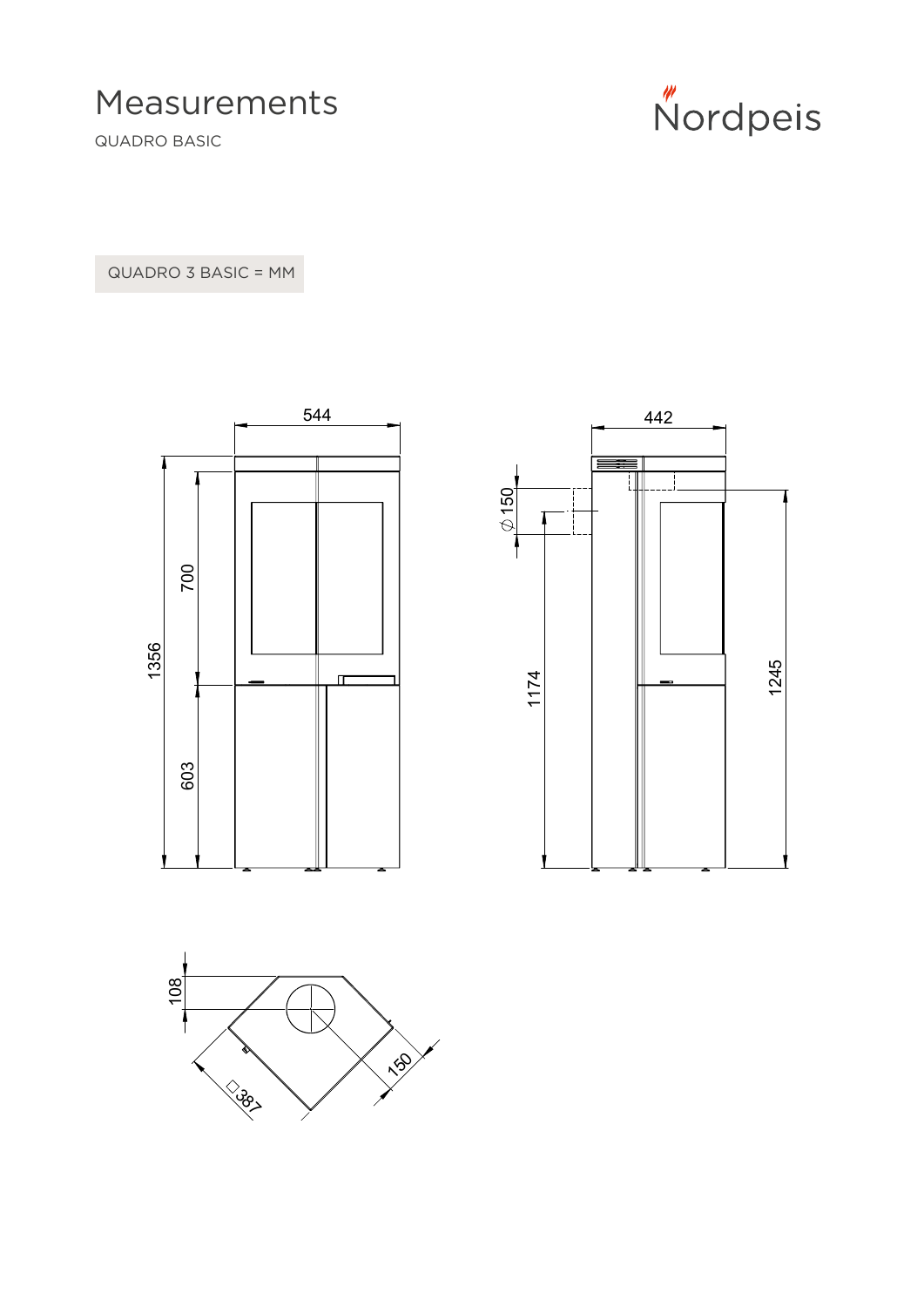Measurements

QUADRO BASIC



QUADRO 3 BASIC = MM





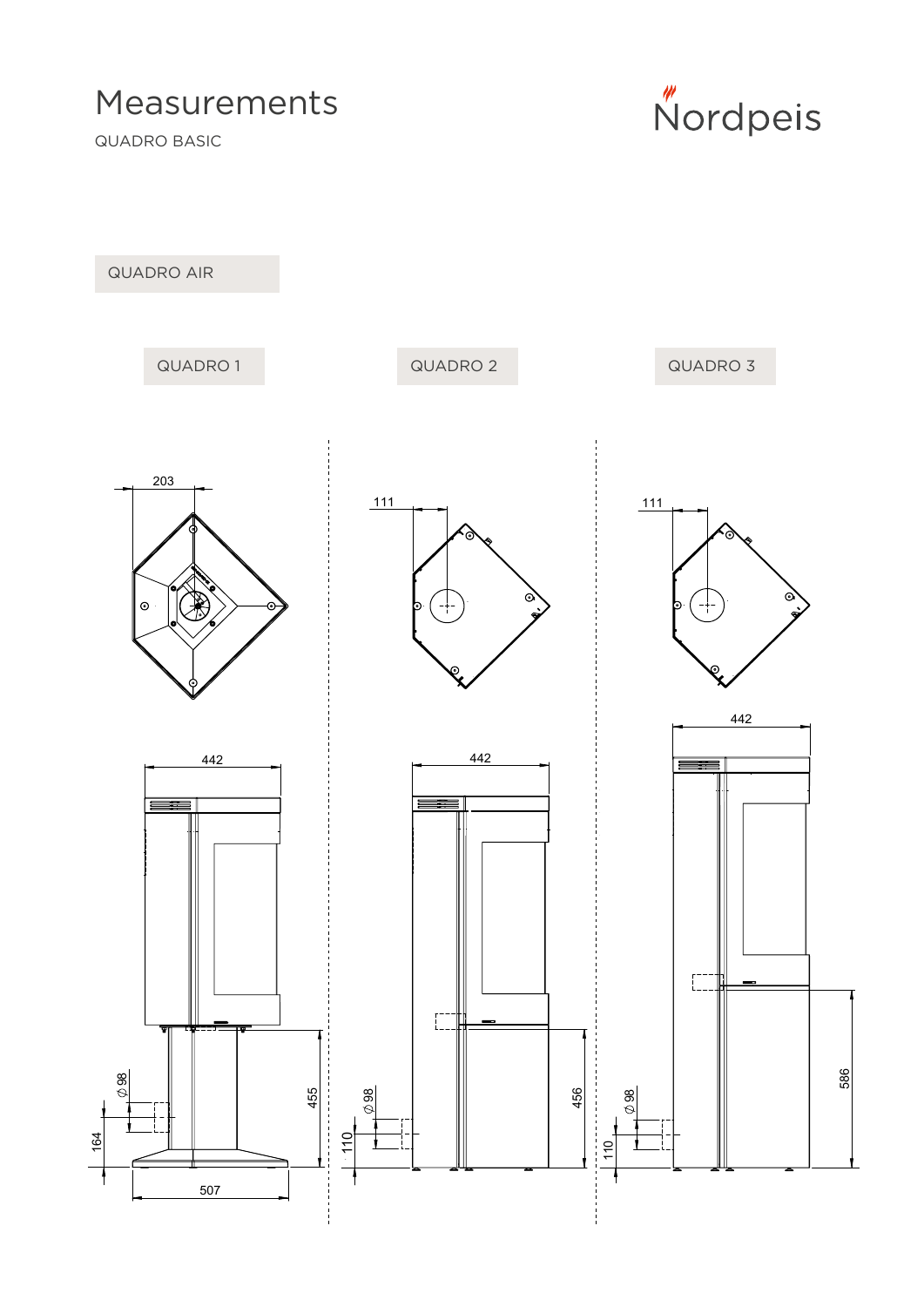## Measurements

QUADRO BASIC